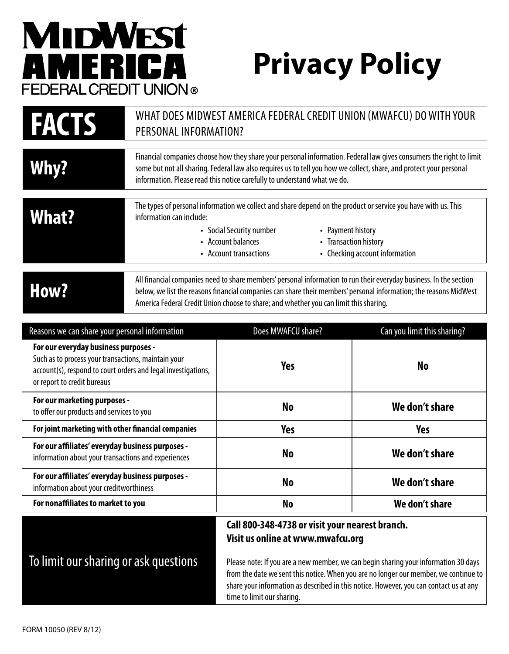## **MIDWEST** AMERICA FEDERAL CREDIT UNION®

## **Privacy Policy**

| WHAT DOES MIDWEST AMERICA FEDERAL CREDIT UNION (MWAFCU) DO WITH YOUR<br><b>FACTS</b><br>PERSONAL INFORMATION?                                                                               |                                                                                                                                                                                                                                                                                                                                  |                                                                                                                                                                                                                 |                                                         |
|---------------------------------------------------------------------------------------------------------------------------------------------------------------------------------------------|----------------------------------------------------------------------------------------------------------------------------------------------------------------------------------------------------------------------------------------------------------------------------------------------------------------------------------|-----------------------------------------------------------------------------------------------------------------------------------------------------------------------------------------------------------------|---------------------------------------------------------|
| Why?                                                                                                                                                                                        | Financial companies choose how they share your personal information. Federal law gives consumers the right to limit<br>some but not all sharing. Federal law also requires us to tell you how we collect, share, and protect your personal<br>information. Please read this notice carefully to understand what we do.           |                                                                                                                                                                                                                 |                                                         |
| <b>What?</b>                                                                                                                                                                                | information can include:                                                                                                                                                                                                                                                                                                         | The types of personal information we collect and share depend on the product or service you have with us. This<br>• Payment history<br>• Social Security number<br>• Account balances<br>• Account transactions | • Transaction history<br>• Checking account information |
| How?                                                                                                                                                                                        | All financial companies need to share members' personal information to run their everyday business. In the section<br>below, we list the reasons financial companies can share their members' personal information; the reasons MidWest<br>America Federal Credit Union choose to share; and whether you can limit this sharing. |                                                                                                                                                                                                                 |                                                         |
| Reasons we can share your personal information                                                                                                                                              |                                                                                                                                                                                                                                                                                                                                  | Does MWAFCU share?                                                                                                                                                                                              | Can you limit this sharing?                             |
| For our everyday business purposes -<br>Such as to process your transactions, maintain your<br>account(s), respond to court orders and legal investigations,<br>or report to credit bureaus |                                                                                                                                                                                                                                                                                                                                  | <b>Yes</b>                                                                                                                                                                                                      | <b>No</b>                                               |
| For our marketing purposes -<br>to offer our products and services to you                                                                                                                   |                                                                                                                                                                                                                                                                                                                                  | <b>No</b>                                                                                                                                                                                                       | We don't share                                          |
| For joint marketing with other financial companies                                                                                                                                          |                                                                                                                                                                                                                                                                                                                                  | <b>Yes</b>                                                                                                                                                                                                      | <b>Yes</b>                                              |
| For our affiliates' everyday business purposes -<br>information about your transactions and experiences                                                                                     |                                                                                                                                                                                                                                                                                                                                  | <b>No</b>                                                                                                                                                                                                       | We don't share                                          |
| For our affiliates' everyday business purposes -<br>information about your creditworthiness                                                                                                 |                                                                                                                                                                                                                                                                                                                                  | <b>No</b>                                                                                                                                                                                                       | We don't share                                          |
| For nonaffiliates to market to you                                                                                                                                                          |                                                                                                                                                                                                                                                                                                                                  | <b>No</b>                                                                                                                                                                                                       | We don't share                                          |

## To limit our sharing or ask questions

## **Call 800-348-4738 or visit your nearest branch. Visit us online at www.mwafcu.org**

Please note: If you are a new member, we can begin sharing your information 30 days from the date we sent this notice. When you are no longer our member, we continue to share your information as described in this notice. However, you can contact us at any time to limit our sharing.